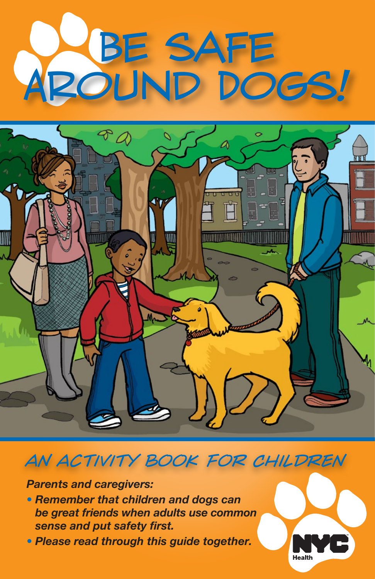# Be safe Around Dogs!



## *an activity book for Children*

*Parents and caregivers:*

- *• Remember that children and dogs can be great friends when adults use common sense and put safety first.*
- *Please read through this guide together.*

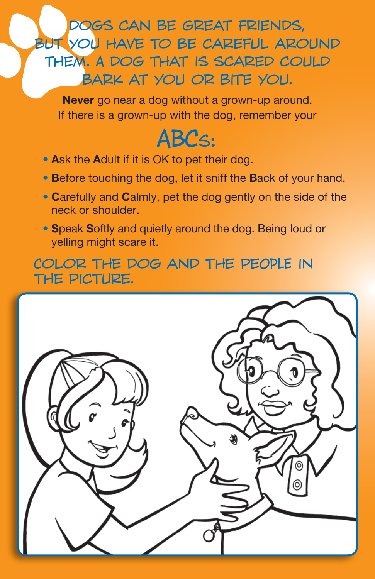dogs can be great friends, BUT YOU HAVE TO BE CAREFUL AROUND them. A dog that is scared could bark at you or bite you.

**Never** go near a dog without a grown-up around. If there is a grown-up with the dog, remember your

# ABCS:

- **A**sk the **A**dult if it is OK to pet their dog.
- **B**efore touching the dog, let it sniff the **B**ack of your hand.
- **C**arefully and **C**almly, pet the dog gently on the side of the neck or shoulder.
- **S**peak **S**oftly and quietly around the dog. Being loud or yelling might scare it.

Color the dog and the peOPLE in the picture.

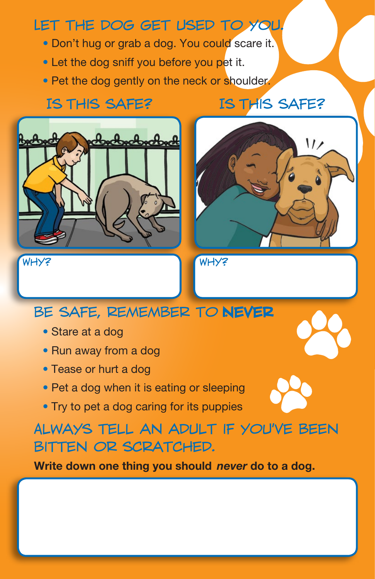## Let the dog get used to you.

- **Don't hug or grab a dog. You could scare it.**
- Let the dog sniff you before you pet it.
- Pet the dog gently on the neck or shoulder.

#### Is this safe? Is this safe?





**BE SAFE, REMEMBER TO NEVER** 

- Stare at a dog
- Run away from a dog
- Tease or hurt a dog
- Pet a dog when it is eating or sleeping
- Try to pet a dog caring for its puppies

## Always tell an adult if you've been bitten or scratched.

**Write down one thing you should** *never* **do to a dog.**